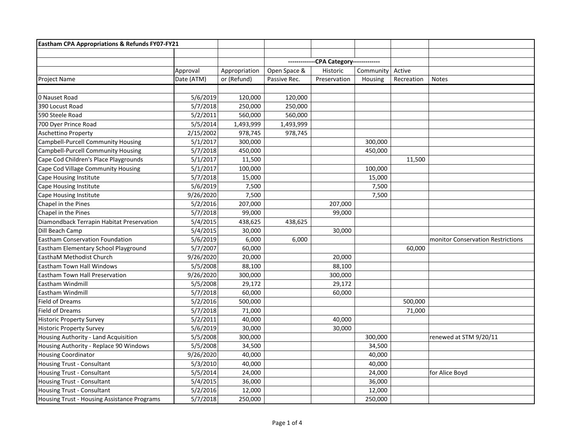| Eastham CPA Appropriations & Refunds FY07-FY21 |            |               |                            |              |           |            |                                   |
|------------------------------------------------|------------|---------------|----------------------------|--------------|-----------|------------|-----------------------------------|
|                                                |            |               |                            |              |           |            |                                   |
|                                                |            |               | -CPA Category------------- |              |           |            |                                   |
|                                                | Approval   | Appropriation | Open Space &               | Historic     | Community | Active     |                                   |
| <b>Project Name</b>                            | Date (ATM) | or (Refund)   | Passive Rec.               | Preservation | Housing   | Recreation | <b>Notes</b>                      |
|                                                |            |               |                            |              |           |            |                                   |
| 0 Nauset Road                                  | 5/6/2019   | 120,000       | 120,000                    |              |           |            |                                   |
| 390 Locust Road                                | 5/7/2018   | 250,000       | 250,000                    |              |           |            |                                   |
| 590 Steele Road                                | 5/2/2011   | 560,000       | 560,000                    |              |           |            |                                   |
| 700 Dyer Prince Road                           | 5/5/2014   | 1,493,999     | 1,493,999                  |              |           |            |                                   |
| Aschettino Property                            | 2/15/2002  | 978,745       | 978,745                    |              |           |            |                                   |
| Campbell-Purcell Community Housing             | 5/1/2017   | 300,000       |                            |              | 300,000   |            |                                   |
| Campbell-Purcell Community Housing             | 5/7/2018   | 450,000       |                            |              | 450,000   |            |                                   |
| Cape Cod Children's Place Playgrounds          | 5/1/2017   | 11,500        |                            |              |           | 11,500     |                                   |
| Cape Cod Village Community Housing             | 5/1/2017   | 100,000       |                            |              | 100,000   |            |                                   |
| Cape Housing Institute                         | 5/7/2018   | 15,000        |                            |              | 15,000    |            |                                   |
| Cape Housing Institute                         | 5/6/2019   | 7,500         |                            |              | 7,500     |            |                                   |
| Cape Housing Institute                         | 9/26/2020  | 7,500         |                            |              | 7,500     |            |                                   |
| Chapel in the Pines                            | 5/2/2016   | 207,000       |                            | 207,000      |           |            |                                   |
| Chapel in the Pines                            | 5/7/2018   | 99,000        |                            | 99,000       |           |            |                                   |
| Diamondback Terrapin Habitat Preservation      | 5/4/2015   | 438,625       | 438,625                    |              |           |            |                                   |
| Dill Beach Camp                                | 5/4/2015   | 30,000        |                            | 30,000       |           |            |                                   |
| <b>Eastham Conservation Foundation</b>         | 5/6/2019   | 6,000         | 6,000                      |              |           |            | monitor Conservation Restrictions |
| Eastham Elementary School Playground           | 5/7/2007   | 60,000        |                            |              |           | 60,000     |                                   |
| EasthaM Methodist Church                       | 9/26/2020  | 20,000        |                            | 20,000       |           |            |                                   |
| <b>Eastham Town Hall Windows</b>               | 5/5/2008   | 88,100        |                            | 88,100       |           |            |                                   |
| Eastham Town Hall Preservation                 | 9/26/2020  | 300,000       |                            | 300,000      |           |            |                                   |
| Eastham Windmill                               | 5/5/2008   | 29,172        |                            | 29,172       |           |            |                                   |
| Eastham Windmill                               | 5/7/2018   | 60,000        |                            | 60,000       |           |            |                                   |
| <b>Field of Dreams</b>                         | 5/2/2016   | 500,000       |                            |              |           | 500,000    |                                   |
| <b>Field of Dreams</b>                         | 5/7/2018   | 71,000        |                            |              |           | 71,000     |                                   |
| <b>Historic Property Survey</b>                | 5/2/2011   | 40,000        |                            | 40,000       |           |            |                                   |
| <b>Historic Property Survey</b>                | 5/6/2019   | 30,000        |                            | 30,000       |           |            |                                   |
| Housing Authority - Land Acquisition           | 5/5/2008   | 300,000       |                            |              | 300,000   |            | renewed at STM 9/20/11            |
| Housing Authority - Replace 90 Windows         | 5/5/2008   | 34,500        |                            |              | 34,500    |            |                                   |
| <b>Housing Coordinator</b>                     | 9/26/2020  | 40,000        |                            |              | 40,000    |            |                                   |
| Housing Trust - Consultant                     | 5/3/2010   | 40,000        |                            |              | 40,000    |            |                                   |
| <b>Housing Trust - Consultant</b>              | 5/5/2014   | 24,000        |                            |              | 24,000    |            | for Alice Boyd                    |
| Housing Trust - Consultant                     | 5/4/2015   | 36,000        |                            |              | 36,000    |            |                                   |
| Housing Trust - Consultant                     | 5/2/2016   | 12,000        |                            |              | 12,000    |            |                                   |
| Housing Trust - Housing Assistance Programs    | 5/7/2018   | 250,000       |                            |              | 250,000   |            |                                   |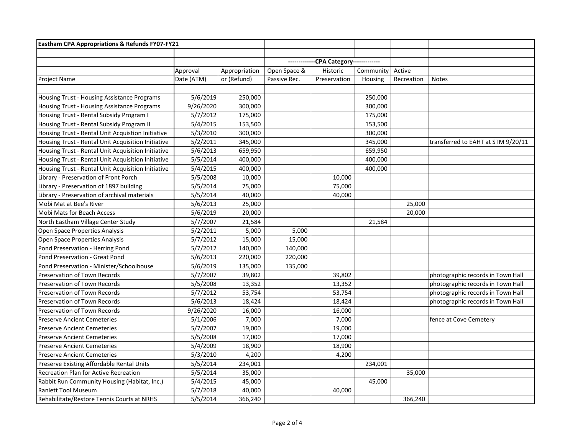| Eastham CPA Appropriations & Refunds FY07-FY21     |            |               |                            |              |           |            |                                    |
|----------------------------------------------------|------------|---------------|----------------------------|--------------|-----------|------------|------------------------------------|
|                                                    |            |               |                            |              |           |            |                                    |
|                                                    |            |               | -CPA Category------------- |              |           |            |                                    |
|                                                    | Approval   | Appropriation | Open Space &               | Historic     | Community | Active     |                                    |
| <b>Project Name</b>                                | Date (ATM) | or (Refund)   | Passive Rec.               | Preservation | Housing   | Recreation | <b>Notes</b>                       |
|                                                    |            |               |                            |              |           |            |                                    |
| Housing Trust - Housing Assistance Programs        | 5/6/2019   | 250,000       |                            |              | 250,000   |            |                                    |
| Housing Trust - Housing Assistance Programs        | 9/26/2020  | 300,000       |                            |              | 300,000   |            |                                    |
| Housing Trust - Rental Subsidy Program I           | 5/7/2012   | 175,000       |                            |              | 175,000   |            |                                    |
| Housing Trust - Rental Subsidy Program II          | 5/4/2015   | 153,500       |                            |              | 153,500   |            |                                    |
| Housing Trust - Rental Unit Acquistion Initiative  | 5/3/2010   | 300,000       |                            |              | 300,000   |            |                                    |
| Housing Trust - Rental Unit Acquisition Initiative | 5/2/2011   | 345,000       |                            |              | 345,000   |            | transferred to EAHT at STM 9/20/11 |
| Housing Trust - Rental Unit Acquisition Initiative | 5/6/2013   | 659,950       |                            |              | 659,950   |            |                                    |
| Housing Trust - Rental Unit Acquisition Initiative | 5/5/2014   | 400,000       |                            |              | 400,000   |            |                                    |
| Housing Trust - Rental Unit Acquisition Initiative | 5/4/2015   | 400,000       |                            |              | 400,000   |            |                                    |
| Library - Preservation of Front Porch              | 5/5/2008   | 10,000        |                            | 10,000       |           |            |                                    |
| Library - Preservation of 1897 building            | 5/5/2014   | 75,000        |                            | 75,000       |           |            |                                    |
| Library - Preservation of archival materials       | 5/5/2014   | 40,000        |                            | 40,000       |           |            |                                    |
| Mobi Mat at Bee's River                            | 5/6/2013   | 25,000        |                            |              |           | 25,000     |                                    |
| <b>Mobi Mats for Beach Access</b>                  | 5/6/2019   | 20,000        |                            |              |           | 20,000     |                                    |
| North Eastham Village Center Study                 | 5/7/2007   | 21,584        |                            |              | 21,584    |            |                                    |
| Open Space Properties Analysis                     | 5/2/2011   | 5,000         | 5,000                      |              |           |            |                                    |
| Open Space Properties Analysis                     | 5/7/2012   | 15,000        | 15,000                     |              |           |            |                                    |
| Pond Preservation - Herring Pond                   | 5/7/2012   | 140,000       | 140,000                    |              |           |            |                                    |
| Pond Preservation - Great Pond                     | 5/6/2013   | 220,000       | 220,000                    |              |           |            |                                    |
| Pond Preservation - Minister/Schoolhouse           | 5/6/2019   | 135,000       | 135,000                    |              |           |            |                                    |
| Preservation of Town Records                       | 5/7/2007   | 39,802        |                            | 39,802       |           |            | photographic records in Town Hall  |
| Preservation of Town Records                       | 5/5/2008   | 13,352        |                            | 13,352       |           |            | photographic records in Town Hall  |
| <b>Preservation of Town Records</b>                | 5/7/2012   | 53,754        |                            | 53,754       |           |            | photographic records in Town Hall  |
| Preservation of Town Records                       | 5/6/2013   | 18,424        |                            | 18,424       |           |            | photographic records in Town Hall  |
| Preservation of Town Records                       | 9/26/2020  | 16,000        |                            | 16,000       |           |            |                                    |
| <b>Preserve Ancient Cemeteries</b>                 | 5/1/2006   | 7,000         |                            | 7,000        |           |            | fence at Cove Cemetery             |
| <b>Preserve Ancient Cemeteries</b>                 | 5/7/2007   | 19,000        |                            | 19,000       |           |            |                                    |
| <b>Preserve Ancient Cemeteries</b>                 | 5/5/2008   | 17,000        |                            | 17,000       |           |            |                                    |
| <b>Preserve Ancient Cemeteries</b>                 | 5/4/2009   | 18,900        |                            | 18,900       |           |            |                                    |
| <b>Preserve Ancient Cemeteries</b>                 | 5/3/2010   | 4,200         |                            | 4,200        |           |            |                                    |
| Preserve Existing Affordable Rental Units          | 5/5/2014   | 234,001       |                            |              | 234,001   |            |                                    |
| Recreation Plan for Active Recreation              | 5/5/2014   | 35,000        |                            |              |           | 35,000     |                                    |
| Rabbit Run Community Housing (Habitat, Inc.)       | 5/4/2015   | 45,000        |                            |              | 45,000    |            |                                    |
| <b>Ranlett Tool Museum</b>                         | 5/7/2018   | 40,000        |                            | 40,000       |           |            |                                    |
| Rehabilitate/Restore Tennis Courts at NRHS         | 5/5/2014   | 366,240       |                            |              |           | 366,240    |                                    |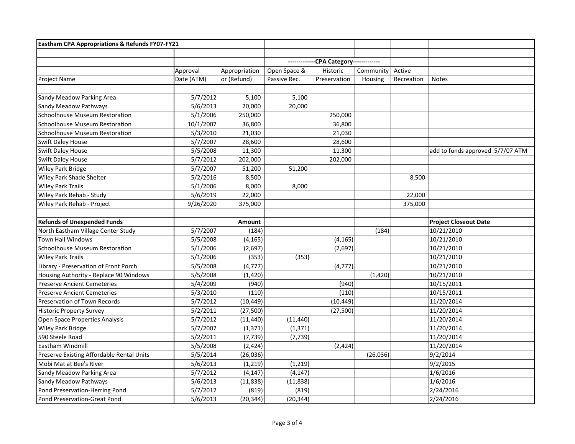| Eastham CPA Appropriations & Refunds FY07-FY21 |            |               |              |                            |           |            |                                  |
|------------------------------------------------|------------|---------------|--------------|----------------------------|-----------|------------|----------------------------------|
|                                                |            |               |              |                            |           |            |                                  |
|                                                |            |               |              | -CPA Category------------- |           |            |                                  |
|                                                | Approval   | Appropriation | Open Space & | Historic                   | Community | Active     |                                  |
| Project Name                                   | Date (ATM) | or (Refund)   | Passive Rec. | Preservation               | Housing   | Recreation | <b>Notes</b>                     |
|                                                |            |               |              |                            |           |            |                                  |
| Sandy Meadow Parking Area                      | 5/7/2012   | 5,100         | 5,100        |                            |           |            |                                  |
| Sandy Meadow Pathways                          | 5/6/2013   | 20,000        | 20,000       |                            |           |            |                                  |
| Schoolhouse Museum Restoration                 | 5/1/2006   | 250,000       |              | 250,000                    |           |            |                                  |
| Schoolhouse Museum Restoration                 | 10/1/2007  | 36,800        |              | 36,800                     |           |            |                                  |
| <b>Schoolhouse Museum Restoration</b>          | 5/3/2010   | 21,030        |              | 21,030                     |           |            |                                  |
| <b>Swift Daley House</b>                       | 5/7/2007   | 28,600        |              | 28,600                     |           |            |                                  |
| Swift Daley House                              | 5/5/2008   | 11,300        |              | 11,300                     |           |            | add to funds approved 5/7/07 ATM |
| Swift Daley House                              | 5/7/2012   | 202,000       |              | 202,000                    |           |            |                                  |
| Wiley Park Bridge                              | 5/7/2007   | 51,200        | 51,200       |                            |           |            |                                  |
| Wiley Park Shade Shelter                       | 5/2/2016   | 8,500         |              |                            |           | 8,500      |                                  |
| <b>Wiley Park Trails</b>                       | 5/1/2006   | 8,000         | 8,000        |                            |           |            |                                  |
| Wiley Park Rehab - Study                       | 5/6/2019   | 22,000        |              |                            |           | 22,000     |                                  |
| Wiley Park Rehab - Project                     | 9/26/2020  | 375,000       |              |                            |           | 375,000    |                                  |
|                                                |            |               |              |                            |           |            |                                  |
| <b>Refunds of Unexpended Funds</b>             |            | Amount        |              |                            |           |            | <b>Project Closeout Date</b>     |
| North Eastham Village Center Study             | 5/7/2007   | (184)         |              |                            | (184)     |            | 10/21/2010                       |
| Town Hall Windows                              | 5/5/2008   | (4, 165)      |              | (4, 165)                   |           |            | 10/21/2010                       |
| <b>Schoolhouse Museum Restoration</b>          | 5/1/2006   | (2,697)       |              | (2,697)                    |           |            | 10/21/2010                       |
| <b>Wiley Park Trails</b>                       | 5/1/2006   | (353)         | (353)        |                            |           |            | 10/21/2010                       |
| Library - Preservation of Front Porch          | 5/5/2008   | (4, 777)      |              | (4, 777)                   |           |            | 10/21/2010                       |
| Housing Authority - Replace 90 Windows         | 5/5/2008   | (1, 420)      |              |                            | (1, 420)  |            | 10/21/2010                       |
| <b>Preserve Ancient Cemeteries</b>             | 5/4/2009   | (940)         |              | (940)                      |           |            | 10/15/2011                       |
| <b>Preserve Ancient Cemeteries</b>             | 5/3/2010   | (110)         |              | (110)                      |           |            | 10/15/2011                       |
| Preservation of Town Records                   | 5/7/2012   | (10, 449)     |              | (10, 449)                  |           |            | 11/20/2014                       |
| <b>Historic Property Survey</b>                | 5/2/2011   | (27, 500)     |              | (27,500)                   |           |            | 11/20/2014                       |
| Open Space Properties Analysis                 | 5/7/2012   | (11, 440)     | (11, 440)    |                            |           |            | 11/20/2014                       |
| Wiley Park Bridge                              | 5/7/2007   | (1, 371)      | (1, 371)     |                            |           |            | 11/20/2014                       |
| 590 Steele Road                                | 5/2/2011   | (7, 739)      | (7, 739)     |                            |           |            | 11/20/2014                       |
| Eastham Windmill                               | 5/5/2008   | (2, 424)      |              | (2,424)                    |           |            | 11/20/2014                       |
| Preserve Existing Affordable Rental Units      | 5/5/2014   | (26, 036)     |              |                            | (26, 036) |            | 9/2/2014                         |
| Mobi Mat at Bee's River                        | 5/6/2013   | (1, 219)      | (1, 219)     |                            |           |            | 9/2/2015                         |
| Sandy Meadow Parking Area                      | 5/7/2012   | (4, 147)      | (4, 147)     |                            |           |            | 1/6/2016                         |
| Sandy Meadow Pathways                          | 5/6/2013   | (11, 838)     | (11, 838)    |                            |           |            | 1/6/2016                         |
| Pond Preservation-Herring Pond                 | 5/7/2012   | (819)         | (819)        |                            |           |            | 2/24/2016                        |
| Pond Preservation-Great Pond                   | 5/6/2013   | (20, 344)     | (20, 344)    |                            |           |            | 2/24/2016                        |